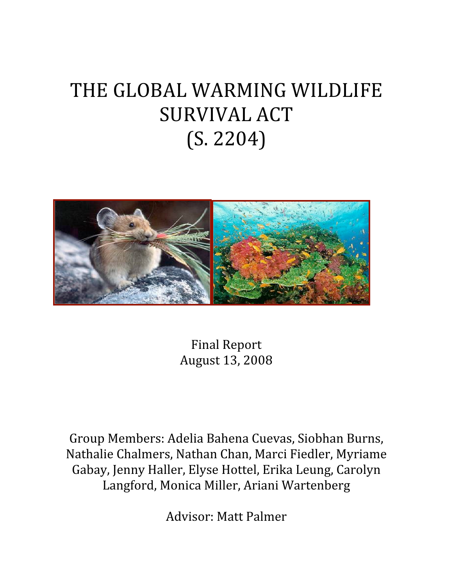# THE GLOBAL WARMING WILDLIFE SURVIVAL
ACT (S.
2204)



Final
Report August
13,
2008

Group
Members:
Adelia
Bahena
Cuevas,
Siobhan
Burns, Nathalie Chalmers, Nathan Chan, Marci Fiedler, Myriame Gabay,
Jenny
Haller,
Elyse
Hottel,
Erika
Leung,
Carolyn Langford,
Monica
Miller,
Ariani
Wartenberg

Advisor:
Matt
Palmer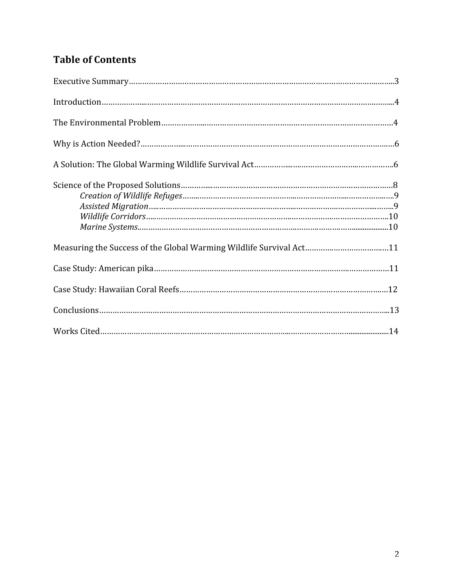## **Table
of
Contents**

| Measuring the Success of the Global Warming Wildlife Survival Act11 |  |
|---------------------------------------------------------------------|--|
|                                                                     |  |
|                                                                     |  |
|                                                                     |  |
|                                                                     |  |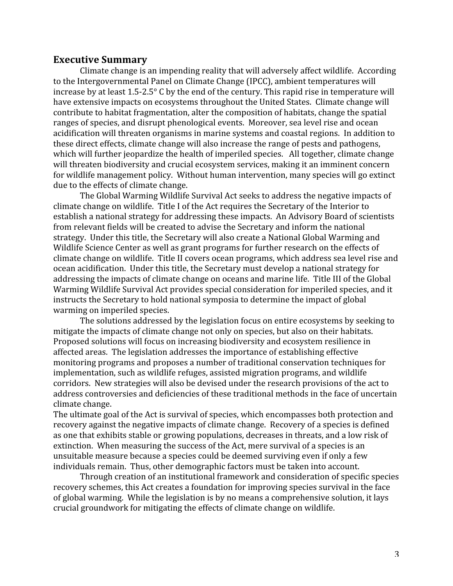#### **Executive
Summary**

Climate change is an impending reality that will adversely affect wildlife. According to
the
Intergovernmental
Panel
on
Climate
Change
(IPCC),
ambient
temperatures
will increase by at least 1.5-2.5° C by the end of the century. This rapid rise in temperature will have extensive impacts on ecosystems throughout the United States. Climate change will contribute
to
habitat
fragmentation,
alter
the
composition
of
habitats,
change
the
spatial ranges
of
species,
and
disrupt
phenological
events.

Moreover,
sea
level
rise
and
ocean acidification will threaten organisms in marine systems and coastal regions. In addition to these
direct
effects,
climate
change
will
also
increase
the
range
of
pests
and
pathogens, which will further jeopardize the health of imperiled species. All together, climate change will threaten biodiversity and crucial ecosystem services, making it an imminent concern for
wildlife
management
policy.

Without
human
intervention,
many
species
will
go
extinct due to the effects of climate change.

The
Global
Warming
Wildlife
Survival
Act
seeks
to
address
the
negative
impacts
of climate
change
on
wildlife.

Title
I
of
the
Act
requires
the
Secretary
of
the
Interior
to establish
a
national
strategy
for
addressing
these
impacts.

An
Advisory
Board
of
scientists from relevant fields will be created to advise the Secretary and inform the national strategy.

Under
this
title,
the
Secretary
will
also
create
a
National
Global
Warming
and Wildlife Science Center as well as grant programs for further research on the effects of climate
change
on
wildlife.

Title
II
covers
ocean
programs,
which
address
sea
level
rise
and ocean
acidification.

Under
this
title,
the
Secretary
must
develop
a
national
strategy
for addressing the impacts of climate change on oceans and marine life. Title III of the Global Warming Wildlife Survival Act provides special consideration for imperiled species, and it instructs
the
Secretary
to
hold
national
symposia
to
determine
the
impact
of
global warming
on
imperiled
species.

The
solutions
addressed
by
the
legislation
focus
on
entire
ecosystems
by
seeking
to mitigate
the
impacts
of
climate
change
not
only
on
species,
but
also
on
their
habitats. Proposed
solutions
will
focus
on
increasing
biodiversity
and
ecosystem
resilience
in affected
areas.

The
legislation
addresses
the
importance
of
establishing
effective monitoring
programs
and
proposes
a
number
of
traditional
conservation
techniques
for implementation,
such
as
wildlife
refuges,
assisted
migration
programs,
and
wildlife corridors.

New
strategies
will
also
be
devised
under
the
research
provisions
of
the
act
to address controversies and deficiencies of these traditional methods in the face of uncertain climate
change.

The ultimate goal of the Act is survival of species, which encompasses both protection and recovery against the negative impacts of climate change. Recovery of a species is defined as
one
that
exhibits
stable
or
growing
populations,
decreases
in
threats,
and
a
low
risk
of extinction. When measuring the success of the Act, mere survival of a species is an unsuitable
measure
because
a
species
could
be
deemed
surviving
even
if
only
a
few individuals
remain.

Thus,
other
demographic
factors
must
be
taken
into
account.

Through creation of an institutional framework and consideration of specific species recovery schemes, this Act creates a foundation for improving species survival in the face of
global
warming.

While
the
legislation
is
by
no
means
a
comprehensive
solution,
it
lays crucial
groundwork
for
mitigating
the
effects
of
climate
change
on
wildlife.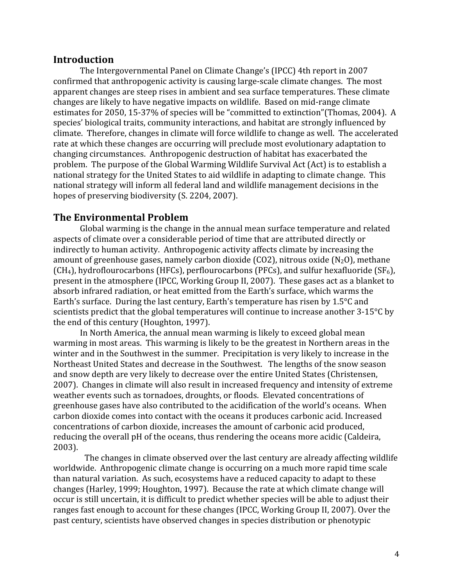## **Introduction**

The
Intergovernmental
Panel
on
Climate
Change's
(IPCC)
4th
report
in
2007 confirmed
that
anthropogenic
activity
is
causing
large‐scale
climate
changes.

The
most apparent changes are steep rises in ambient and sea surface temperatures. These climate changes
are
likely
to
have
negative
impacts
on
wildlife.

Based
on
mid‐range
climate estimates for 2050, 15-37% of species will be "committed to extinction" (Thomas, 2004). A species'
biological
traits,
community
interactions,
and
habitat
are
strongly
influenced
by climate. Therefore, changes in climate will force wildlife to change as well. The accelerated rate
at
which
these
changes
are
occurring
will
preclude
most
evolutionary
adaptation
to changing
circumstances.

Anthropogenic
destruction
of
habitat
has
exacerbated
the problem.

The
purpose
of
the
Global
Warming
Wildlife
Survival
Act
(Act)
is
to
establish
a national
strategy
for
the
United
States
to
aid
wildlife
in
adapting
to
climate
change.

This national
strategy
will
inform
all
federal
land
and
wildlife
management
decisions
in
the hopes of preserving biodiversity (S. 2204, 2007).

## **The
Environmental
Problem**

Global warming is the change in the annual mean surface temperature and related aspects
of
climate
over
a
considerable
period
of
time
that
are
attributed
directly
or indirectly
to
human
activity.

Anthropogenic
activity
affects
climate
by
increasing
the amount of greenhouse gases, namely carbon dioxide  $(CO2)$ , nitrous oxide  $(N_2O)$ , methane  $(CH<sub>4</sub>)$ , hydroflourocarbons (HFCs), perflourocarbons (PFCs), and sulfur hexafluoride (SF<sub>6</sub>). present
in
the
atmosphere
(IPCC,
Working
Group
II,
2007).

These
gases
act
as
a
blanket
to absorb
infrared
radiation,
or
heat
emitted
from
the
Earth's
surface,
which
warms
the Earth's surface. During the last century, Earth's temperature has risen by 1.5°C and scientists predict that the global temperatures will continue to increase another 3-15°C by the
end
of
this
century
(Houghton,
1997).

In North America, the annual mean warming is likely to exceed global mean warming in most areas. This warming is likely to be the greatest in Northern areas in the winter and in the Southwest in the summer. Precipitation is very likely to increase in the Northeast
United
States
and
decrease
in
the
Southwest.

The
lengths
of
the
snow
season and
snow
depth
are
very
likely
to
decrease
over
the
entire
United
States
(Christensen, 2007).

Changes
in
climate
will
also
result
in
increased
frequency
and
intensity
of
extreme weather events such as tornadoes, droughts, or floods. Elevated concentrations of greenhouse
gases
have
also
contributed
to
the
acidification
of
the
world's
oceans.

When carbon
dioxide
comes
into
contact
with
the
oceans
it
produces
carbonic
acid.
Increased concentrations
of
carbon
dioxide,
increases
the
amount
of
carbonic
acid
produced, reducing the overall pH of the oceans, thus rendering the oceans more acidic (Caldeira, 2003).

The
changes
in
climate
observed
over
the
last
century
are
already
affecting
wildlife worldwide. Anthropogenic climate change is occurring on a much more rapid time scale than
natural
variation.

As
such,
ecosystems
have
a
reduced
capacity
to
adapt
to
these changes
(Harley,
1999;
Houghton,
1997).

Because
the
rate
at
which
climate
change
will occur
is
still
uncertain,
it
is
difficult
to
predict
whether
species
will
be
able
to
adjust
their ranges fast enough to account for these changes (IPCC, Working Group II, 2007). Over the past
century,
scientists
have
observed
changes
in
species
distribution
or
phenotypic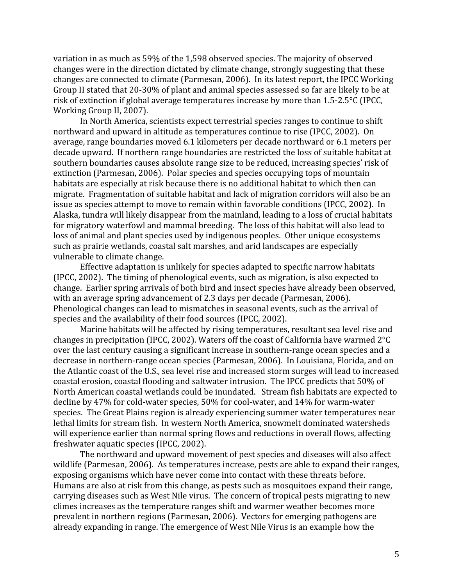variation
in
as
much
as
59%
of
the
1,598
observed
species.
The
majority
of
observed changes
were
in
the
direction
dictated
by
climate
change,
strongly
suggesting
that
these changes
are
connected
to
climate
(Parmesan,
2006).

In
its
latest
report,
the
IPCC
Working Group II stated that 20-30% of plant and animal species assessed so far are likely to be at risk
of
extinction
if
global
average
temperatures
increase
by
more
than
1.5‐2.5°C
(IPCC, Working
Group
II,
2007).

In North America, scientists expect terrestrial species ranges to continue to shift northward and upward in altitude as temperatures continue to rise (IPCC, 2002). On average,
range
boundaries
moved
6.1
kilometers
per
decade
northward
or
6.1
meters
per decade
upward.

If
northern
range
boundaries
are
restricted
the
loss
of
suitable
habitat
at southern
boundaries
causes
absolute
range
size
to
be
reduced,
increasing
species'
risk
of extinction
(Parmesan,
2006).

Polar
species
and
species
occupying
tops
of
mountain habitats are especially at risk because there is no additional habitat to which then can migrate.

Fragmentation
of
suitable
habitat
and
lack
of
migration
corridors
will
also
be
an issue
as
species
attempt
to
move
to
remain
within
favorable
conditions
(IPCC,
2002).

In Alaska, tundra will likely disappear from the mainland, leading to a loss of crucial habitats for migratory waterfowl and mammal breeding. The loss of this habitat will also lead to loss of animal and plant species used by indigenous peoples. Other unique ecosystems such
as
prairie
wetlands,
coastal
salt
marshes,
and
arid
landscapes
are
especially vulnerable to climate change.

Effective adaptation is unlikely for species adapted to specific narrow habitats (IPCC,
2002).

The
timing
of
phenological
events,
such
as
migration,
is
also
expected
to change.

Earlier
spring
arrivals
of
both
bird
and
insect
species
have
already
been
observed, with
an
average
spring
advancement
of
2.3
days
per
decade
(Parmesan,
2006). Phenological
changes
can
lead
to
mismatches
in
seasonal
events,
such
as
the
arrival
of species and the availability of their food sources (IPCC, 2002).

Marine habitats will be affected by rising temperatures, resultant sea level rise and changes
in
precipitation
(IPCC,
2002).
Waters
off
the
coast
of
California
have
warmed
2°C over the last century causing a significant increase in southern-range ocean species and a decrease
in
northern‐range
ocean
species
(Parmesan,
2006).

In
Louisiana,
Florida,
and
on the Atlantic coast of the U.S., sea level rise and increased storm surges will lead to increased coastal
erosion,
coastal
flooding
and
saltwater
intrusion.

The
IPCC
predicts
that
50%
of North
American
coastal
wetlands
could
be
inundated.

Stream
fish
habitats
are
expected
to decline
by
47%
for
cold‐water
species,
50%
for
cool‐water,
and
14%
for
warm‐water species.

The
Great
Plains
region
is
already
experiencing
summer
water
temperatures
near lethal
limits
for
stream
fish.

In
western
North
America,
snowmelt
dominated
watersheds will experience earlier than normal spring flows and reductions in overall flows, affecting freshwater
aquatic
species
(IPCC,
2002).

The
northward
and
upward
movement
of
pest
species
and
diseases
will
also
affect wildlife (Parmesan, 2006). As temperatures increase, pests are able to expand their ranges, exposing
organisms
which
have
never
come
into
contact
with
these
threats
before. Humans
are
also
at
risk
from
this
change,
as
pests
such
as
mosquitoes
expand
their
range, carrying
diseases
such
as
West
Nile
virus.

The
concern
of
tropical
pests
migrating
to
new climes
increases
as
the
temperature
ranges
shift
and
warmer
weather
becomes
more prevalent
in
northern
regions
(Parmesan,
2006).

Vectors
for
emerging
pathogens
are already
expanding
in
range.
The
emergence
of
West
Nile
Virus
is
an
example
how
the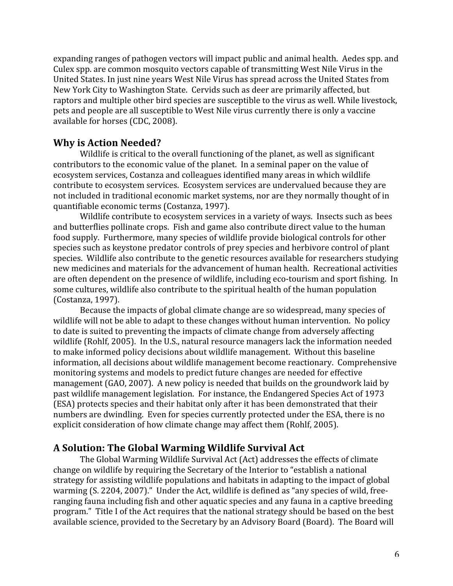expanding ranges of pathogen vectors will impact public and animal health. Aedes spp. and Culex
spp.
are
common
mosquito
vectors
capable
of
transmitting
West
Nile
Virus in
the United States. In just nine vears West Nile Virus has spread across the United States from New
York
City
to
Washington
State. Cervids
such
as
deer
are
primarily
affected,
but raptors and multiple other bird species are susceptible to the virus as well. While livestock, pets
and
people
are
all
susceptible
to
West
Nile
virus
currently
there
is
only
a
vaccine available
for
horses
(CDC,
2008).

## **Why
is
Action
Needed?**

Wildlife is critical to the overall functioning of the planet, as well as significant contributors to the economic value of the planet. In a seminal paper on the value of ecosystem
services,
Costanza
and
colleagues
identified
many
areas
in
which
wildlife contribute
to
ecosystem
services.

Ecosystem
services
are
undervalued
because
they
are not
included
in
traditional
economic
market
systems,
nor
are
they
normally
thought
of
in quantifiable
economic
terms
(Costanza,
1997).

Wildlife contribute to ecosystem services in a variety of ways. Insects such as bees and butterflies pollinate crops. Fish and game also contribute direct value to the human food supply. Furthermore, many species of wildlife provide biological controls for other species
such
as
keystone
predator
controls
of
prey
species
and
herbivore
control
of
plant species. Wildlife also contribute to the genetic resources available for researchers studying new
medicines
and
materials
for
the
advancement
of
human
health.

Recreational
activities are often dependent on the presence of wildlife, including eco-tourism and sport fishing. In some
cultures,
wildlife
also
contribute
to
the
spiritual
health
of
the
human
population (Costanza,
1997).

Because the impacts of global climate change are so widespread, many species of wildlife will not be able to adapt to these changes without human intervention. No policy to date is suited to preventing the impacts of climate change from adversely affecting wildlife (Rohlf, 2005). In the U.S., natural resource managers lack the information needed to
make
informed
policy
decisions
about
wildlife
management.

Without
this
baseline information,
all
decisions
about
wildlife
management
become
reactionary.

Comprehensive monitoring
systems
and
models
to
predict
future
changes
are
needed
for
effective management
(GAO,
2007).

A
new
policy
is
needed
that
builds
on
the
groundwork
laid
by past
wildlife
management
legislation.

For
instance,
the
Endangered
Species
Act
of
1973 (ESA)
protects
species
and
their
habitat
only
after
it
has
been
demonstrated
that
their numbers
are
dwindling.

Even
for
species
currently
protected
under
the
ESA,
there
is
no explicit
consideration
of
how
climate
change
may
affect
them
(Rohlf,
2005).

## **A
Solution:
The
Global
Warming
Wildlife
Survival
Act**

The
Global
Warming
Wildlife
Survival
Act
(Act)
addresses
the
effects
of
climate change
on
wildlife
by
requiring
the
Secretary
of
the
Interior
to
"establish
a
national strategy for assisting wildlife populations and habitats in adapting to the impact of global warming (S. 2204, 2007)." Under the Act, wildlife is defined as "any species of wild, freeranging fauna including fish and other aquatic species and any fauna in a captive breeding program."

Title
I
of
the
Act
requires
that
the
national
strategy
should
be
based
on
the
best available science, provided to the Secretary by an Advisory Board (Board). The Board will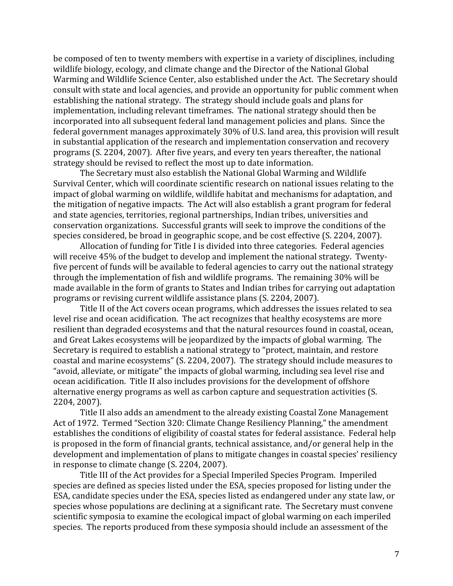be composed of ten to twenty members with expertise in a variety of disciplines, including wildlife biology, ecology, and climate change and the Director of the National Global Warming and Wildlife Science Center, also established under the Act. The Secretary should consult
with
state
and
local
agencies,
and
provide
an
opportunity
for
public
comment
when establishing
the
national
strategy.

The
strategy
should
include
goals
and
plans
for implementation,
including
relevant
timeframes.

The
national
strategy
should
then
be incorporated into all subsequent federal land management policies and plans. Since the federal government manages approximately 30% of U.S. land area, this provision will result in
substantial
application
of
the
research
and
implementation
conservation
and
recovery programs
(S.
2204,
2007).

After
five
years,
and
every
ten
years
thereafter,
the
national strategy
should
be
revised
to
reflect
the
most
up
to
date
information.

The Secretary must also establish the National Global Warming and Wildlife Survival Center, which will coordinate scientific research on national issues relating to the impact
of
global
warming
on
wildlife,
wildlife
habitat
and
mechanisms
for
adaptation,
and the mitigation of negative impacts. The Act will also establish a grant program for federal and
state
agencies,
territories,
regional
partnerships,
Indian
tribes,
universities
and conservation
organizations.

Successful
grants
will
seek
to
improve
the
conditions
of
the species
considered,
be
broad
in
geographic
scope,
and
be
cost
effective
(S.
2204,
2007).

Allocation
of
funding
for
Title
I
is
divided
into
three
categories.

Federal
agencies will receive 45% of the budget to develop and implement the national strategy. Twentyfive percent of funds will be available to federal agencies to carry out the national strategy through the implementation of fish and wildlife programs. The remaining 30% will be made available in the form of grants to States and Indian tribes for carrying out adaptation programs
or
revising
current
wildlife
assistance
plans
(S.
2204,
2007).

Title II of the Act covers ocean programs, which addresses the issues related to sea level
rise
and
ocean
acidification.

The
act
recognizes
that
healthy
ecosystems
are
more resilient than degraded ecosystems and that the natural resources found in coastal, ocean, and
Great
Lakes
ecosystems
will
be
jeopardized
by
the
impacts
of
global
warming.

The Secretary is required to establish a national strategy to "protect, maintain, and restore coastal
and
marine
ecosystems"
(S.
2204,
2007).

The
strategy
should
include
measures
to "avoid, alleviate, or mitigate" the impacts of global warming, including sea level rise and ocean
acidification.

Title
II
also
includes
provisions
for
the
development
of
offshore alternative
energy
programs
as
well
as
carbon
capture
and
sequestration
activities
(S. 2204,
2007).

Title
II
also
adds
an
amendment
to
the
already
existing
Coastal
Zone
Management Act
of
1972.

Termed
"Section
320:
Climate
Change
Resiliency
Planning,"
the
amendment establishes the conditions of eligibility of coastal states for federal assistance. Federal help is proposed in the form of financial grants, technical assistance, and/or general help in the development and implementation of plans to mitigate changes in coastal species' resiliency in
response
to
climate
change
(S.
2204,
2007).

Title III of the Act provides for a Special Imperiled Species Program. Imperiled species are defined as species listed under the ESA, species proposed for listing under the ESA, candidate species under the ESA, species listed as endangered under any state law, or species whose populations are declining at a significant rate. The Secretary must convene scientific symposia to examine the ecological impact of global warming on each imperiled species. The reports produced from these symposia should include an assessment of the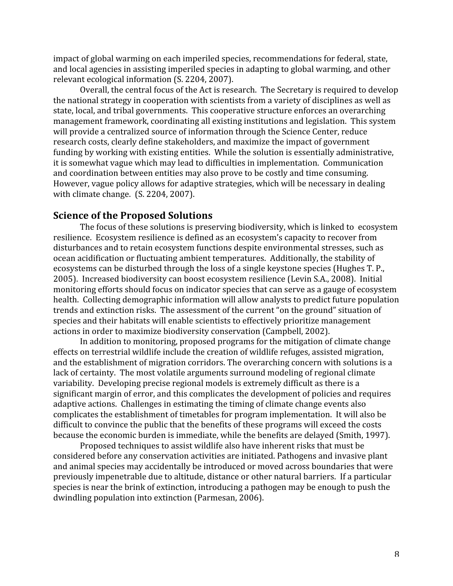impact of global warming on each imperiled species, recommendations for federal, state, and local agencies in assisting imperiled species in adapting to global warming, and other relevant
ecological
information
(S.
2204,
2007).

Overall, the central focus of the Act is research. The Secretary is required to develop the national strategy in cooperation with scientists from a variety of disciplines as well as state,
local,
and
tribal
governments.

This
cooperative
structure
enforces
an
overarching management
framework,
coordinating
all
existing
institutions
and
legislation.

This
system will provide a centralized source of information through the Science Center, reduce research
costs,
clearly
define
stakeholders,
and
maximize
the
impact
of
government funding by working with existing entities. While the solution is essentially administrative, it
is
somewhat
vague
which
may
lead
to
difficulties
in
implementation.

Communication and
coordination
between
entities
may
also
prove
to
be
costly
and
time
consuming. However,
vague
policy
allows
for
adaptive
strategies,
which
will
be
necessary
in
dealing with climate change. (S. 2204, 2007).

### **Science
of
the
Proposed
Solutions**

The focus of these solutions is preserving biodiversity, which is linked to ecosystem resilience. Ecosystem resilience is defined as an ecosystem's capacity to recover from disturbances and to retain ecosystem functions despite environmental stresses, such as ocean
acidification
or
fluctuating
ambient
temperatures.

Additionally,
the
stability
of ecosystems can be disturbed through the loss of a single keystone species (Hughes T. P., 2005).

Increased
biodiversity
can
boost
ecosystem
resilience
(Levin
S.A.,
2008).

Initial monitoring
efforts
should
focus
on
indicator
species
that
can
serve
as
a
gauge
of
ecosystem health. Collecting demographic information will allow analysts to predict future population trends and extinction risks. The assessment of the current "on the ground" situation of species
and
their
habitats
will
enable
scientists
to
effectively
prioritize
management actions
in
order
to
maximize
biodiversity
conservation
(Campbell,
2002).

In addition to monitoring, proposed programs for the mitigation of climate change effects
on
terrestrial
wildlife
include
the
creation
of
wildlife
refuges,
assisted
migration, and the establishment of migration corridors. The overarching concern with solutions is a lack of certainty. The most volatile arguments surround modeling of regional climate variability.

Developing
precise
regional
models
is
extremely
difficult
as
there
is
a significant margin of error, and this complicates the development of policies and requires adaptive actions. Challenges in estimating the timing of climate change events also complicates
the
establishment
of
timetables
for
program
implementation.

It
will
also
be difficult to convince the public that the benefits of these programs will exceed the costs because
the
economic
burden
is
immediate,
while
the
benefits
are
delayed
(Smith,
1997).

Proposed
techniques
to
assist
wildlife
also
have
inherent
risks
that
must
be considered before any conservation activities are initiated. Pathogens and invasive plant and
animal
species
may
accidentally
be
introduced
or
moved
across
boundaries
that
were previously
impenetrable
due
to
altitude,
distance
or
other
natural
barriers. If
a
particular species is near the brink of extinction, introducing a pathogen may be enough to push the dwindling
population
into
extinction (Parmesan,
2006).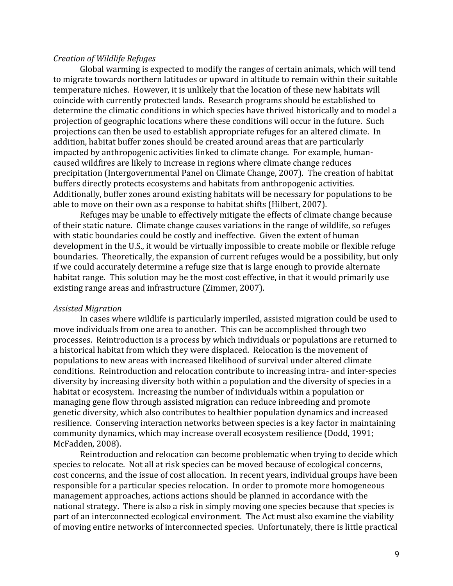#### *Creation
of
Wildlife
Refuges*

Global warming is expected to modify the ranges of certain animals, which will tend to
migrate
towards
northern
latitudes
or
upward
in
altitude
to
remain
within
their
suitable temperature niches. However, it is unlikely that the location of these new habitats will coincide
with
currently
protected
lands.

Research
programs
should
be
established
to determine the climatic conditions in which species have thrived historically and to model a projection of geographic locations where these conditions will occur in the future. Such projections
can
then
be
used
to
establish
appropriate
refuges
for
an
altered
climate.

In addition,
habitat
buffer
zones
should
be
created
around
areas
that
are
particularly impacted by anthropogenic activities linked to climate change. For example, humancaused
wildfires
are
likely
to
increase
in
regions
where
climate
change
reduces precipitation
(Intergovernmental
Panel
on
Climate
Change,
2007).

The
creation
of
habitat buffers
directly
protects
ecosystems
and
habitats
from
anthropogenic
activities. Additionally, buffer zones around existing habitats will be necessary for populations to be able
to
move
on
their
own
as
a
response
to
habitat
shifts
(Hilbert,
2007).

Refuges may be unable to effectively mitigate the effects of climate change because of
their
static
nature.

Climate
change
causes
variations
in
the
range
of
wildlife,
so
refuges with static boundaries could be costly and ineffective. Given the extent of human development in the U.S., it would be virtually impossible to create mobile or flexible refuge boundaries. Theoretically, the expansion of current refuges would be a possibility, but only if
we
could
accurately
determine
a
refuge
size
that
is
large
enough
to
provide
alternate habitat range. This solution may be the most cost effective, in that it would primarily use existing
range
areas
and
infrastructure
(Zimmer,
2007).

#### *Assisted
Migration*

In
cases
where
wildlife
is
particularly
imperiled,
assisted
migration
could
be
used
to move
individuals
from
one
area
to
another.

This
can
be
accomplished
through
two processes.

Reintroduction
is
a
process
by
which
individuals
or
populations
are
returned
to a
historical
habitat
from
which
they
were
displaced.

Relocation
is
the
movement
of populations
to
new
areas
with
increased
likelihood
of
survival
under
altered
climate conditions.

Reintroduction
and
relocation
contribute
to
increasing
intra‐
and
inter‐species diversity by increasing diversity both within a population and the diversity of species in a habitat or ecosystem. Increasing the number of individuals within a population or managing
gene
flow
through
assisted
migration
can
reduce
inbreeding
and
promote genetic
diversity,
which
also
contributes
to
healthier
population
dynamics
and
increased resilience. Conserving interaction networks between species is a key factor in maintaining community
dynamics,
which
may
increase
overall
ecosystem
resilience
(Dodd,
1991; McFadden,
2008).

Reintroduction
and
relocation
can
become
problematic
when
trying
to
decide
which species to relocate. Not all at risk species can be moved because of ecological concerns, cost
concerns,
and
the
issue
of
cost
allocation.

In
recent
years,
individual
groups
have
been responsible
for
a
particular
species
relocation.

In
order
to
promote
more
homogeneous management
approaches,
actions
actions
should
be
planned
in
accordance
with
the national strategy. There is also a risk in simply moving one species because that species is part
of
an
interconnected
ecological
environment.

The
Act
must
also
examine
the
viability of
moving
entire
networks
of
interconnected
species.

Unfortunately,
there
is
little
practical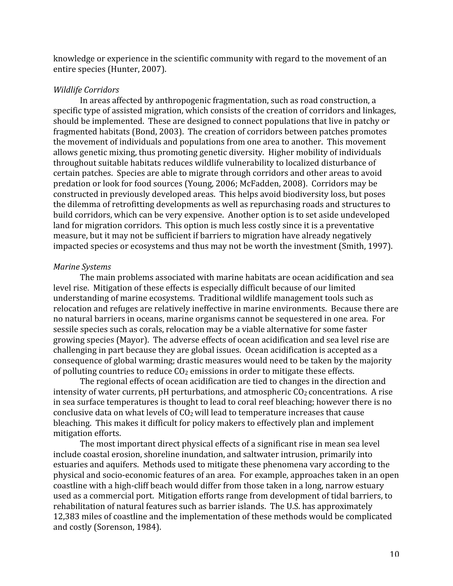knowledge or experience in the scientific community with regard to the movement of an entire
species
(Hunter,
2007).

#### *Wildlife
Corridors*

In
areas
affected
by
anthropogenic
fragmentation,
such
as
road
construction,
a specific type of assisted migration, which consists of the creation of corridors and linkages, should
be
implemented.

These
are
designed
to
connect
populations
that
live
in
patchy
or fragmented
habitats
(Bond,
2003).

The
creation
of
corridors
between
patches
promotes the
movement
of
individuals
and
populations
from
one
area
to
another.

This
movement allows
genetic
mixing,
thus
promoting
genetic
diversity.

Higher
mobility
of
individuals throughout
suitable
habitats
reduces
wildlife
vulnerability
to
localized
disturbance
of certain
patches.

Species
are
able
to
migrate
through
corridors
and
other
areas
to
avoid predation
or
look
for
food
sources
(Young,
2006;
McFadden,
2008).

Corridors
may
be constructed
in
previously
developed
areas.

This
helps
avoid
biodiversity
loss,
but
poses the
dilemma
of
retrofitting
developments
as
well
as
repurchasing
roads
and
structures
to build
corridors,
which
can
be
very
expensive.

Another
option
is
to
set
aside
undeveloped land for migration corridors. This option is much less costly since it is a preventative measure,
but
it
may
not
be
sufficient
if
barriers
to
migration
have
already
negatively impacted
species
or
ecosystems
and
thus
may
not
be
worth
the
investment
(Smith,
1997).

#### *Marine
Systems*

The main problems associated with marine habitats are ocean acidification and sea level rise. Mitigation of these effects is especially difficult because of our limited understanding
of
marine
ecosystems.

Traditional
wildlife
management
tools
such
as relocation and refuges are relatively ineffective in marine environments. Because there are no
natural
barriers
in
oceans,
marine
organisms
cannot
be
sequestered
in
one
area.

For sessile
species
such
as
corals,
relocation
may
be
a
viable
alternative
for
some
faster growing
species
(Mayor).

The
adverse
effects
of
ocean
acidification
and
sea
level
rise
are challenging
in
part
because
they
are
global
issues.

Ocean
acidification
is
accepted
as
a consequence
of
global
warming;
drastic
measures
would
need
to
be
taken
by
the
majority of
polluting
countries
to
reduce
CO2
emissions
in
order
to
mitigate
these
effects.

The
regional
effects
of
ocean
acidification
are
tied
to
changes
in
the
direction
and intensity of water currents, pH perturbations, and atmospheric  $CO<sub>2</sub>$  concentrations. A rise in
sea
surface
temperatures
is
thought
to
lead
to
coral
reef
bleaching;
however
there
is
no conclusive
data
on
what
levels
of
CO2will
lead
to
temperature
increases
that
cause bleaching.

This
makes
it
difficult
for
policy
makers
to
effectively
plan
and
implement mitigation
efforts.

The
most
important
direct
physical
effects
of
a
significant
rise
in
mean
sea
level include coastal erosion, shoreline inundation, and saltwater intrusion, primarily into estuaries and aquifers. Methods used to mitigate these phenomena vary according to the physical
and
socio‐economic
features
of
an
area.

For
example,
approaches
taken
in
an
open coastline
with
a
high‐cliff
beach
would
differ
from
those
taken
in
a
long,
narrow
estuary used
as
a
commercial
port.

Mitigation
efforts
range
from
development
of
tidal
barriers,
to rehabilitation
of
natural
features
such
as
barrier
islands.

The
U.S.
has
approximately 12,383
miles
of
coastline
and
the
implementation
of
these
methods
would
be
complicated and
costly
(Sorenson,
1984).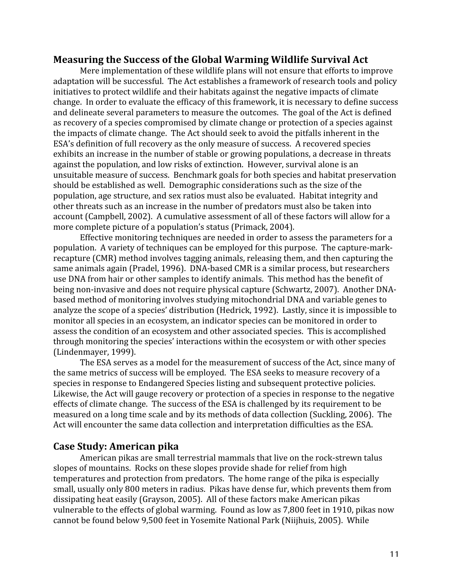## **Measuring
the
Success
of
the
Global
Warming
Wildlife
Survival
Act**

Mere implementation of these wildlife plans will not ensure that efforts to improve adaptation
will
be
successful.

The
Act
establishes
a
framework
of
research
tools
and
policy initiatives to protect wildlife and their habitats against the negative impacts of climate change.

In
order
to
evaluate
the
efficacy
of
this
framework,
it
is
necessary
to
define
success and
delineate
several
parameters
to
measure
the
outcomes.

The
goal
of
the
Act
is
defined as
recovery
of
a
species
compromised
by
climate
change
or
protection
of
a
species
against the impacts of climate change. The Act should seek to avoid the pitfalls inherent in the ESA's definition of full recovery as the only measure of success. A recovered species exhibits an increase in the number of stable or growing populations, a decrease in threats against
the
population,
and
low
risks
of
extinction.

However,
survival
alone
is
an unsuitable
measure
of
success.

Benchmark
goals
for
both
species
and
habitat
preservation should
be
established
as
well.

Demographic
considerations
such
as
the
size
of
the population,
age
structure,
and
sex
ratios
must
also
be
evaluated.

Habitat
integrity
and other
threats
such
as
an
increase
in
the
number
of
predators
must
also
be
taken
into account (Campbell, 2002). A cumulative assessment of all of these factors will allow for a more
complete
picture
of
a
population's
status
(Primack,
2004).

Effective monitoring techniques are needed in order to assess the parameters for a population.

A
variety
of
techniques
can
be
employed
for
this
purpose.

The
capture‐mark‐ recapture (CMR) method involves tagging animals, releasing them, and then capturing the same animals again (Pradel, 1996). DNA-based CMR is a similar process, but researchers use DNA from hair or other samples to identify animals. This method has the benefit of being non-invasive and does not require physical capture (Schwartz, 2007). Another DNAbased
method
of
monitoring
involves
studying
mitochondrial
DNA
and
variable
genes
to analyze
the
scope
of
a
species'
distribution
(Hedrick,
1992).

Lastly,
since
it
is
impossible
to monitor
all
species
in
an
ecosystem,
an
indicator
species
can
be
monitored
in
order
to assess
the
condition
of
an
ecosystem
and
other
associated
species.

This
is
accomplished through
monitoring
the
species'
interactions
within
the
ecosystem
or
with
other
species (Lindenmayer,
1999).

The ESA serves as a model for the measurement of success of the Act, since many of the
same
metrics
of
success
will
be
employed.

The
ESA
seeks
to
measure
recovery
of
a species
in
response
to
Endangered
Species
listing
and
subsequent
protective
policies. Likewise, the Act will gauge recovery or protection of a species in response to the negative effects of climate change. The success of the ESA is challenged by its requirement to be measured
on
a
long
time
scale
and
by
its
methods
of
data
collection
(Suckling,
2006).

The Act
will
encounter
the
same
data
collection
and
interpretation
difficulties
as
the
ESA.

## **Case
Study:
American
pika**

American pikas are small terrestrial mammals that live on the rock-strewn talus slopes
of
mountains.

Rocks
on
these
slopes
provide
shade
for
relief
from
high temperatures
and
protection
from
predators.

The
home
range
of
the
pika
is
especially small, usually only 800 meters in radius. Pikas have dense fur, which prevents them from dissipating
heat
easily
(Grayson,
2005).

All
of
these
factors
make
American
pikas vulnerable to the effects of global warming. Found as low as 7,800 feet in 1910, pikas now cannot
be
found
below
9,500
feet
in
Yosemite
National
Park
(Niijhuis,
2005).

While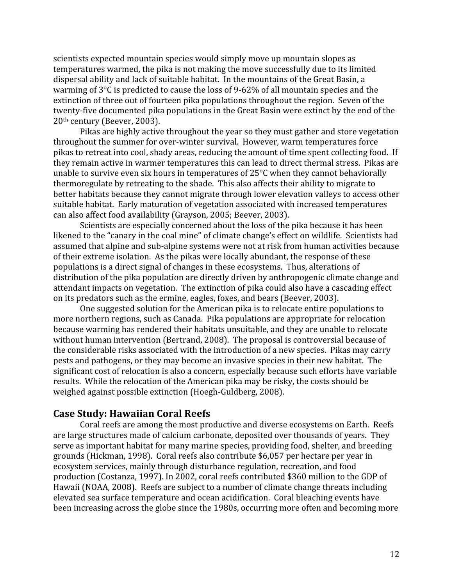scientists
expected
mountain
species
would
simply
move
up
mountain
slopes
as temperatures
warmed,
the
pika
is
not
making
the
move
successfully
due
to
its
limited dispersal
ability
and
lack
of
suitable
habitat.

In
the
mountains
of
the
Great
Basin,
a warming of 3<sup>o</sup>C is predicted to cause the loss of 9-62% of all mountain species and the extinction of three out of fourteen pika populations throughout the region. Seven of the twenty‐five
documented
pika
populations
in
the
Great
Basin
were
extinct
by
the
end
of
the 20th
century
(Beever,
2003).

Pikas are highly active throughout the year so they must gather and store vegetation throughout
the
summer
for
over‐winter
survival.

However,
warm
temperatures
force pikas
to
retreat
into
cool,
shady
areas,
reducing
the
amount
of
time
spent
collecting
food.

If they remain active in warmer temperatures this can lead to direct thermal stress. Pikas are unable to survive even six hours in temperatures of 25°C when they cannot behaviorally thermoregulate
by
retreating
to
the
shade.

This
also
affects
their
ability
to
migrate
to better
habitats
because
they
cannot
migrate
through
lower
elevation
valleys
to
access
other suitable
habitat.

Early
maturation
of
vegetation
associated
with
increased
temperatures can
also
affect
food
availability
(Grayson,
2005;
Beever,
2003).

Scientists are especially concerned about the loss of the pika because it has been likened to the "canary in the coal mine" of climate change's effect on wildlife. Scientists had assumed that alpine and sub-alpine systems were not at risk from human activities because of
their
extreme
isolation.

As
the
pikas
were
locally
abundant,
the
response
of
these populations
is
a
direct
signal
of
changes
in
these
ecosystems.

Thus,
alterations
of distribution of the pika population are directly driven by anthropogenic climate change and attendant impacts on vegetation. The extinction of pika could also have a cascading effect on
its
predators
such
as
the
ermine,
eagles,
foxes,
and
bears
(Beever,
2003).

One suggested solution for the American pika is to relocate entire populations to more
northern
regions,
such
as
Canada.

Pika
populations
are
appropriate
for
relocation because
warming
has
rendered
their
habitats
unsuitable,
and
they
are
unable
to
relocate without human intervention (Bertrand, 2008). The proposal is controversial because of the
considerable
risks
associated
with
the
introduction
of
a
new
species.

Pikas
may
carry pests
and
pathogens,
or
they
may
become
an
invasive
species
in
their
new
habitat.

The significant cost of relocation is also a concern, especially because such efforts have variable results.

While
the
relocation
of
the
American
pika
may
be
risky,
the
costs
should
be weighed
against
possible
extinction
(Hoegh‐Guldberg,
2008).

## **Case
Study:
Hawaiian
Coral
Reefs**

Coral reefs are among the most productive and diverse ecosystems on Earth. Reefs are
large
structures
made
of
calcium
carbonate,
deposited
over
thousands
of
years.

They serve
as
important
habitat
for
many
marine
species,
providing
food,
shelter,
and
breeding grounds
(Hickman,
1998).

Coral
reefs
also
contribute
\$6,057
per
hectare
per
year
in ecosystem
services,
mainly
through
disturbance
regulation,
recreation,
and
food production
(Costanza,
1997).
In
2002,
coral
reefs
contributed
\$360
million
to
the
GDP
of Hawaii (NOAA, 2008). Reefs are subject to a number of climate change threats including elevated
sea
surface
temperature
and
ocean
acidification.

Coral
bleaching
events
have been
increasing
across
the
globe
since
the
1980s,
occurring
more
often
and
becoming
more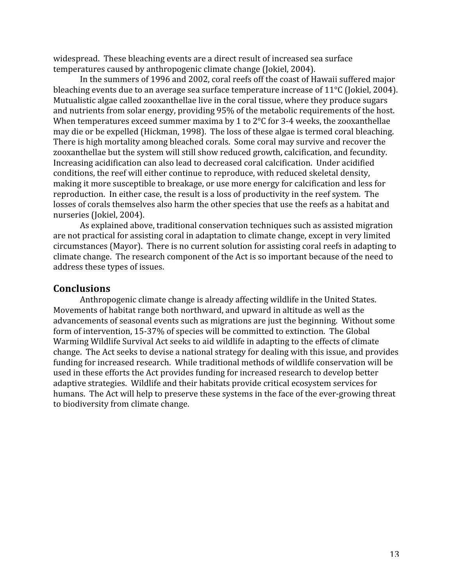widespread.

These
bleaching
events
are
a
direct
result
of
increased
sea
surface temperatures
caused
by
anthropogenic
climate
change
(Jokiel,
2004).

In
the
summers
of
1996
and
2002,
coral
reefs
off
the
coast
of
Hawaii
suffered
major bleaching events due to an average sea surface temperature increase of 11<sup>o</sup>C (Jokiel, 2004). Mutualistic algae called zooxanthellae live in the coral tissue, where they produce sugars and nutrients from solar energy, providing 95% of the metabolic requirements of the host. When temperatures exceed summer maxima by 1 to 2°C for 3-4 weeks, the zooxanthellae may
die
or
be
expelled
(Hickman,
1998).

The
loss
of
these
algae
is
termed
coral
bleaching. There
is
high
mortality
among
bleached
corals.

Some
coral
may
survive
and
recover
the zooxanthellae but the system will still show reduced growth, calcification, and fecundity. Increasing
acidification
can
also
lead
to
decreased
coral
calcification.

Under
acidified conditions, the reef will either continue to reproduce, with reduced skeletal density, making
it
more
susceptible
to
breakage,
or
use
more
energy
for
calcification
and
less
for reproduction. In either case, the result is a loss of productivity in the reef system. The losses of corals themselves also harm the other species that use the reefs as a habitat and nurseries
(Jokiel,
2004).

As
explained
above,
traditional
conservation
techniques
such
as
assisted
migration are
not
practical
for
assisting
coral
in
adaptation
to
climate
change,
except
in
very
limited circumstances
(Mayor).

There
is
no
current
solution
for
assisting
coral
reefs
in
adapting
to climate
change.

The
research
component
of
the
Act
is
so
important
because
of
the
need
to address
these
types
of
issues.

## **Conclusions**

Anthropogenic climate change is already affecting wildlife in the United States. Movements of habitat range both northward, and upward in altitude as well as the advancements
of
seasonal
events
such
as
migrations
are
just
the
beginning.

Without
some form of intervention, 15-37% of species will be committed to extinction. The Global Warming Wildlife Survival Act seeks to aid wildlife in adapting to the effects of climate change.

The
Act
seeks
to
devise
a
national
strategy
for
dealing
with
this
issue,
and
provides funding for increased research. While traditional methods of wildlife conservation will be used
in
these
efforts
the
Act
provides
funding
for
increased
research
to
develop
better adaptive strategies. Wildlife and their habitats provide critical ecosystem services for humans. The Act will help to preserve these systems in the face of the ever-growing threat to
biodiversity
from
climate
change.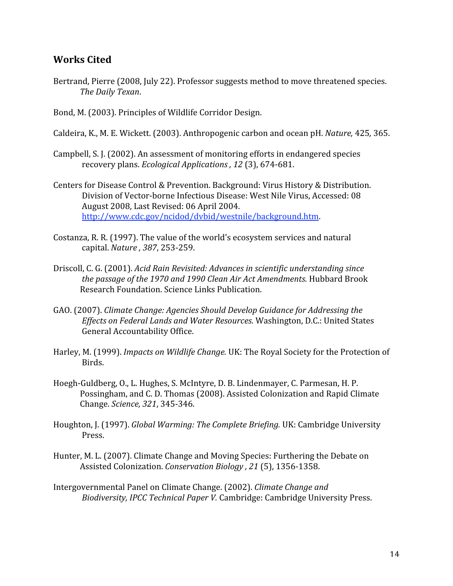## **Works
Cited**

- Bertrand,
Pierre
(2008,
July
22).
Professor
suggests
method
to
move
threatened
species. *The
Daily
Texan*.
- Bond,
M.
(2003).
Principles
of
Wildlife
Corridor
Design.
- Caldeira,
K.,
M.
E.
Wickett.
(2003).
Anthropogenic
carbon
and
ocean
pH. *Nature,* 425*,*365.
- Campbell,
S.
J.
(2002).
An
assessment
of
monitoring
efforts
in
endangered
species recovery
plans. *Ecological
Applications ,
12*(3),
674‐681.
- Centers
for
Disease
Control
&
Prevention.
Background:
Virus
History
&
Distribution. Division
of
Vector‐borne
Infectious
Disease:
West
Nile
Virus,
Accessed:
08 August
2008,
Last
Revised:
06
April
2004. http://www.cdc.gov/ncidod/dvbid/westnile/background.htm.
- Costanza, R. R. (1997). The value of the world's ecosystem services and natural capital. *Nature ,
387*,
253‐259.
- Driscoll,
C.
G.
(2001). *Acid
Rain
Revisited:
Advances
in
scientific
understanding
since the
passage
of
the
1970
and
1990
Clean
Air
Act
Amendments.*Hubbard
Brook Research
Foundation.
Science
Links
Publication.
- GAO.
(2007). *Climate
Change:
Agencies
Should
Develop
Guidance
for
Addressing
the Effects
on
Federal
Lands
and
Water
Resources.*Washington,
D.C.:
United
States General
Accountability
Office.
- Harley, M. (1999). *Impacts on Wildlife Change*. UK: The Royal Society for the Protection of Birds.
- Hoegh-Guldberg, O., L. Hughes, S. McIntyre, D. B. Lindenmayer, C. Parmesan, H. P. Possingham, and C. D. Thomas (2008). Assisted Colonization and Rapid Climate Change. *Science,
321*,
345‐346.
- Houghton, J. (1997). Global Warming: The Complete Briefing. UK: Cambridge University Press.
- Hunter,
M.
L.
(2007).
Climate
Change
and
Moving
Species:
Furthering
the
Debate
on Assisted
Colonization. *Conservation
Biology ,
21*(5),
1356‐1358.
- Intergovernmental
Panel
on
Climate
Change.
(2002). *Climate
Change
and* Biodiversity, *IPCC Technical Paper V.* Cambridge: Cambridge University Press.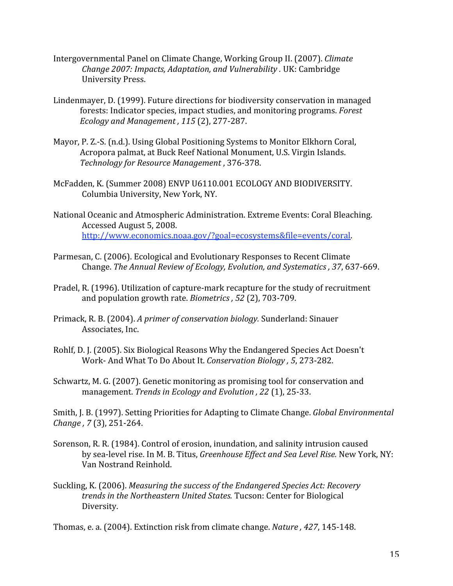- Intergovernmental
Panel
on
Climate
Change,
Working
Group
II.
(2007). *Climate Change
2007:
Impacts,
Adaptation,
and
Vulnerability
.*UK:
Cambridge University
Press.
- Lindenmayer,
D.
(1999).
Future
directions
for
biodiversity
conservation
in
managed forests:
Indicator
species,
impact
studies,
and
monitoring
programs. *Forest Ecology
and
Management ,
115*(2),
277‐287.
- Mayor, P. Z.-S. (n.d.). Using Global Positioning Systems to Monitor Elkhorn Coral, Acropora
palmat,
at
Buck
Reef
National
Monument,
U.S.
Virgin
Islands. *Technology
for
Resource
Management*,
376‐378.
- McFadden,
K.
(Summer
2008)
ENVP
U6110.001
ECOLOGY
AND
BIODIVERSITY. Columbia
University,
New
York,
NY.
- National
Oceanic
and
Atmospheric
Administration.
Extreme
Events:
Coral
Bleaching. Accessed
August
5,
2008. http://www.economics.noaa.gov/?goal=ecosystems&file=events/coral.
- Parmesan,
C.
(2006).
Ecological
and
Evolutionary
Responses
to
Recent
Climate Change. *The
Annual
Review
of
Ecology,
Evolution,
and
Systematics ,
37*,
637‐669.
- Pradel,
R.
(1996).
Utilization
of
capture‐mark
recapture
for
the
study
of
recruitment and
population
growth
rate. *Biometrics ,
52*(2),
703‐709.
- Primack,
R.
B.
(2004). *A
primer
of
conservation
biology.*Sunderland:
Sinauer Associates,
Inc.
- Rohlf,
D.
J.
(2005).
Six
Biological
Reasons
Why
the
Endangered
Species
Act
Doesn't Work‐
And
What
To
Do
About
It. *Conservation
Biology ,
5*,
273‐282.
- Schwartz,
M.
G.
(2007).
Genetic
monitoring
as
promising
tool
for
conservation
and management. *Trends
in
Ecology
and
Evolution ,
22*(1),
25‐33.

Smith,
J.
B.
(1997).
Setting
Priorities
for
Adapting
to
Climate
Change. *Global
Environmental Change ,
7*(3),
251‐264.

- Sorenson,
R.
R.
(1984).
Control
of
erosion,
inundation,
and
salinity
intrusion
caused by sea-level rise. In M. B. Titus, Greenhouse Effect and Sea Level Rise. New York, NY: Van
Nostrand
Reinhold.
- Suckling, K. (2006). *Measuring the success of the Endangered Species Act: Recovery trends
in
the
Northeastern
United
States.*Tucson:
Center
for
Biological Diversity.

Thomas,
e.
a.
(2004).
Extinction
risk
from
climate
change. *Nature ,
427*,
145‐148.